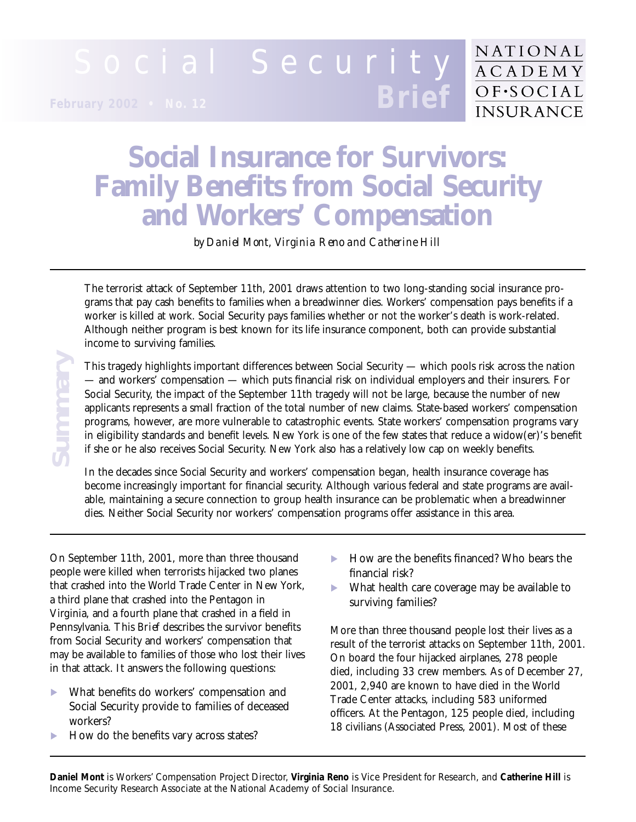#### Social Security **ACADEMY**  $OF-SOCIAL$ **Brief February 2002 • No. 12INSURANCE**

# **Social Insurance for Survivors: Family Benefits from Social Security and Workers' Compensation**

*by Daniel Mont, Virginia Reno and Catherine Hill* 

The terrorist attack of September 11th, 2001 draws attention to two long-standing social insurance programs that pay cash benefits to families when a breadwinner dies. Workers' compensation pays benefits if a worker is killed at work. Social Security pays families whether or not the worker's death is work-related. Although neither program is best known for its life insurance component, both can provide substantial income to surviving families.

This tragedy highlights important differences between Social Security — which pools risk across the nation — and workers' compensation — which puts financial risk on individual employers and their insurers. For Social Security, the impact of the September 11th tragedy will not be large, because the number of new applicants represents a small fraction of the total number of new claims. State-based workers' compensation programs, however, are more vulnerable to catastrophic events. State workers' compensation programs vary in eligibility standards and benefit levels. New York is one of the few states that reduce a widow(er)'s benefit if she or he also receives Social Security. New York also has a relatively low cap on weekly benefits.

In the decades since Social Security and workers' compensation began, health insurance coverage has become increasingly important for financial security. Although various federal and state programs are available, maintaining a secure connection to group health insurance can be problematic when a breadwinner dies. Neither Social Security nor workers' compensation programs offer assistance in this area.

On September 11th, 2001, more than three thousand people were killed when terrorists hijacked two planes that crashed into the World Trade Center in New York, a third plane that crashed into the Pentagon in Virginia, and a fourth plane that crashed in a field in Pennsylvania. This *Brief* describes the survivor benefits from Social Security and workers' compensation that may be available to families of those who lost their lives in that attack. It answers the following questions: This tragedy highlights important differences between Social Security<br>
— and workers' compensation — which puts financial risk on individual Security, the impact of the September 11th tragedy will not be<br>
applicants repres

- What benefits do workers' compensation and Social Security provide to families of deceased workers?
- How do the benefits vary across states?

▶ How are the benefits financed? Who bears the financial risk?

NATIONAL

What health care coverage may be available to surviving families?

More than three thousand people lost their lives as a result of the terrorist attacks on September 11th, 2001. On board the four hijacked airplanes, 278 people died, including 33 crew members. As of December 27, 2001, 2,940 are known to have died in the World Trade Center attacks, including 583 uniformed officers. At the Pentagon, 125 people died, including 18 civilians (Associated Press, 2001). Most of these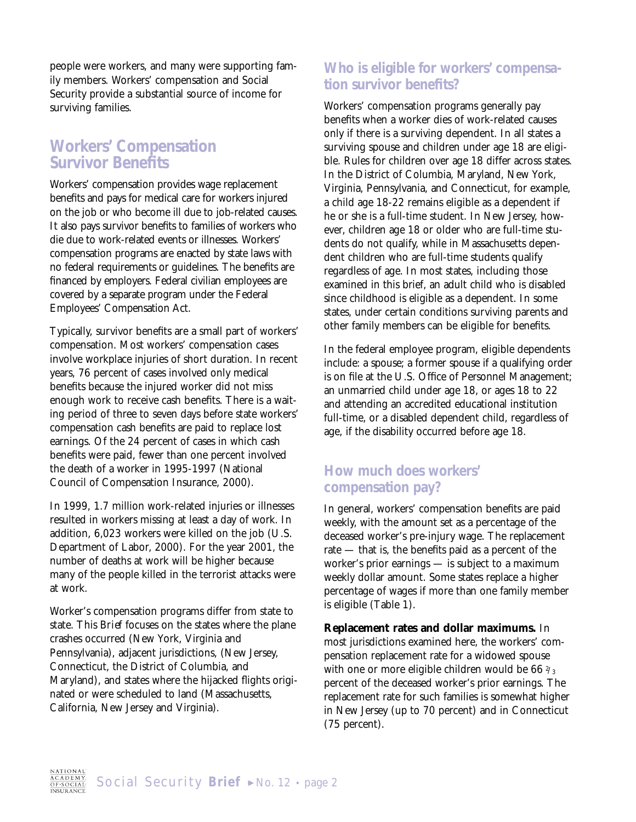people were workers, and many were supporting family members. Workers' compensation and Social Security provide a substantial source of income for surviving families.

#### **Workers' Compensation Survivor Benefits**

Workers' compensation provides wage replacement benefits and pays for medical care for workers injured on the job or who become ill due to job-related causes. It also pays survivor benefits to families of workers who die due to work-related events or illnesses. Workers' compensation programs are enacted by state laws with no federal requirements or guidelines. The benefits are financed by employers. Federal civilian employees are covered by a separate program under the Federal Employees' Compensation Act.

Typically, survivor benefits are a small part of workers' compensation. Most workers' compensation cases involve workplace injuries of short duration. In recent years, 76 percent of cases involved only medical benefits because the injured worker did not miss enough work to receive cash benefits. There is a waiting period of three to seven days before state workers' compensation cash benefits are paid to replace lost earnings. Of the 24 percent of cases in which cash benefits were paid, fewer than one percent involved the death of a worker in 1995-1997 (National Council of Compensation Insurance, 2000).

In 1999, 1.7 million work-related injuries or illnesses resulted in workers missing at least a day of work. In addition, 6,023 workers were killed on the job (U.S. Department of Labor, 2000). For the year 2001, the number of deaths at work will be higher because many of the people killed in the terrorist attacks were at work.

Worker's compensation programs differ from state to state. This *Brief* focuses on the states where the plane crashes occurred (New York, Virginia and Pennsylvania), adjacent jurisdictions, (New Jersey, Connecticut, the District of Columbia, and Maryland), and states where the hijacked flights originated or were scheduled to land (Massachusetts, California, New Jersey and Virginia).

#### **Who is eligible for workers' compensation survivor benefits?**

Workers' compensation programs generally pay benefits when a worker dies of work-related causes only if there is a surviving dependent. In all states a surviving spouse and children under age 18 are eligible. Rules for children over age 18 differ across states. In the District of Columbia, Maryland, New York, Virginia, Pennsylvania, and Connecticut, for example, a child age 18-22 remains eligible as a dependent if he or she is a full-time student. In New Jersey, however, children age 18 or older who are full-time students do not qualify, while in Massachusetts dependent children who are full-time students qualify regardless of age. In most states, including those examined in this brief, an adult child who is disabled since childhood is eligible as a dependent. In some states, under certain conditions surviving parents and other family members can be eligible for benefits.

In the federal employee program, eligible dependents include: a spouse; a former spouse if a qualifying order is on file at the U.S. Office of Personnel Management; an unmarried child under age 18, or ages 18 to 22 and attending an accredited educational institution full-time, or a disabled dependent child, regardless of age, if the disability occurred before age 18.

#### **How much does workers' compensation pay?**

In general, workers' compensation benefits are paid weekly, with the amount set as a percentage of the deceased worker's pre-injury wage. The replacement rate — that is, the benefits paid as a percent of the worker's prior earnings — is subject to a maximum weekly dollar amount. Some states replace a higher percentage of wages if more than one family member is eligible (Table 1).

**Replacement rates and dollar maximums.** In most jurisdictions examined here, the workers' compensation replacement rate for a widowed spouse with one or more eligible children would be  $66\frac{2}{3}$ percent of the deceased worker's prior earnings. The replacement rate for such families is somewhat higher in New Jersey (up to 70 percent) and in Connecticut (75 percent).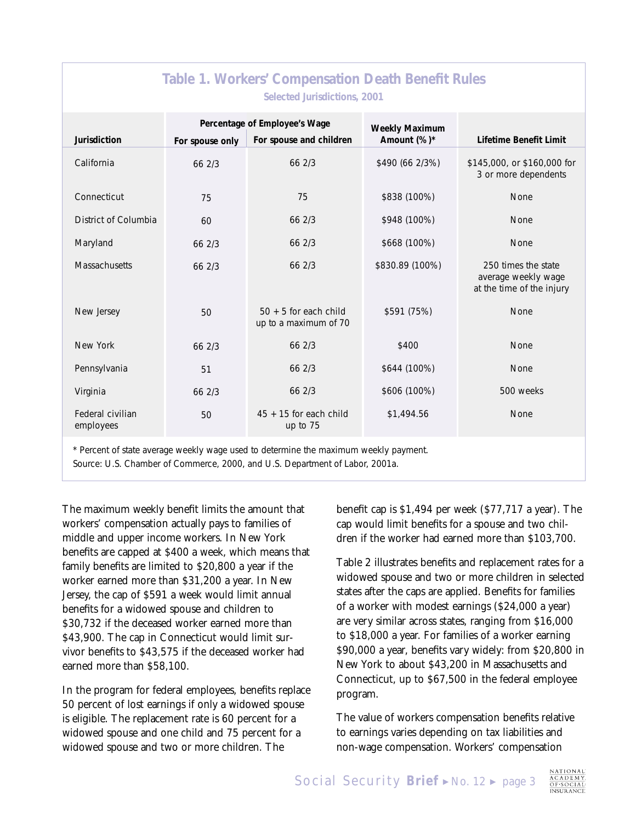| Table 1. Workers' Compensation Death Benefit Rules                                   |                 |                                                  |                 |                                                                         |  |  |
|--------------------------------------------------------------------------------------|-----------------|--------------------------------------------------|-----------------|-------------------------------------------------------------------------|--|--|
| Selected Jurisdictions, 2001                                                         |                 |                                                  |                 |                                                                         |  |  |
|                                                                                      |                 | Percentage of Employee's Wage                    | Weekly Maximum  |                                                                         |  |  |
| Jurisdiction                                                                         | For spouse only | For spouse and children                          | Amount (%)*     | Lifetime Benefit Limit                                                  |  |  |
| California                                                                           | 66 2/3          | 66 2/3                                           | \$490 (66 2/3%) | \$145,000, or \$160,000 for<br>3 or more dependents                     |  |  |
| Connecticut                                                                          | 75              | 75                                               | \$838 (100%)    | None                                                                    |  |  |
| District of Columbia                                                                 | 60              | 66 2/3                                           | \$948 (100%)    | None                                                                    |  |  |
| Maryland                                                                             | 66 2/3          | 66 2/3                                           | \$668 (100%)    | None                                                                    |  |  |
| <b>Massachusetts</b>                                                                 | 66 2/3          | 66 2/3                                           | \$830.89 (100%) | 250 times the state<br>average weekly wage<br>at the time of the injury |  |  |
| New Jersey                                                                           | 50              | $50 + 5$ for each child<br>up to a maximum of 70 | \$591 (75%)     | None                                                                    |  |  |
| New York                                                                             | 66 2/3          | 66 2/3                                           | \$400           | None                                                                    |  |  |
| Pennsylvania                                                                         | 51              | 66 2/3                                           | \$644 (100%)    | None                                                                    |  |  |
| Virginia                                                                             | 66 2/3          | 66 2/3                                           | \$606 (100%)    | 500 weeks                                                               |  |  |
| Federal civilian<br>employees                                                        | 50              | $45 + 15$ for each child<br>up to 75             | \$1,494.56      | None                                                                    |  |  |
| * Percent of state average weekly wage used to determine the maximum weekly payment. |                 |                                                  |                 |                                                                         |  |  |

Source: U.S. Chamber of Commerce, 2000, and U.S. Department of Labor, 2001a.

The maximum weekly benefit limits the amount that workers' compensation actually pays to families of middle and upper income workers. In New York benefits are capped at \$400 a week, which means that family benefits are limited to \$20,800 a year if the worker earned more than \$31,200 a year. In New Jersey, the cap of \$591 a week would limit annual benefits for a widowed spouse and children to \$30,732 if the deceased worker earned more than \$43,900. The cap in Connecticut would limit survivor benefits to \$43,575 if the deceased worker had earned more than \$58,100.

In the program for federal employees, benefits replace 50 percent of lost earnings if only a widowed spouse is eligible. The replacement rate is 60 percent for a widowed spouse and one child and 75 percent for a widowed spouse and two or more children. The

benefit cap is \$1,494 per week (\$77,717 a year). The cap would limit benefits for a spouse and two children if the worker had earned more than \$103,700.

Table 2 illustrates benefits and replacement rates for a widowed spouse and two or more children in selected states after the caps are applied. Benefits for families of a worker with modest earnings (\$24,000 a year) are very similar across states, ranging from \$16,000 to \$18,000 a year. For families of a worker earning \$90,000 a year, benefits vary widely: from \$20,800 in New York to about \$43,200 in Massachusetts and Connecticut, up to \$67,500 in the federal employee program.

The value of workers compensation benefits relative to earnings varies depending on tax liabilities and non-wage compensation. Workers' compensation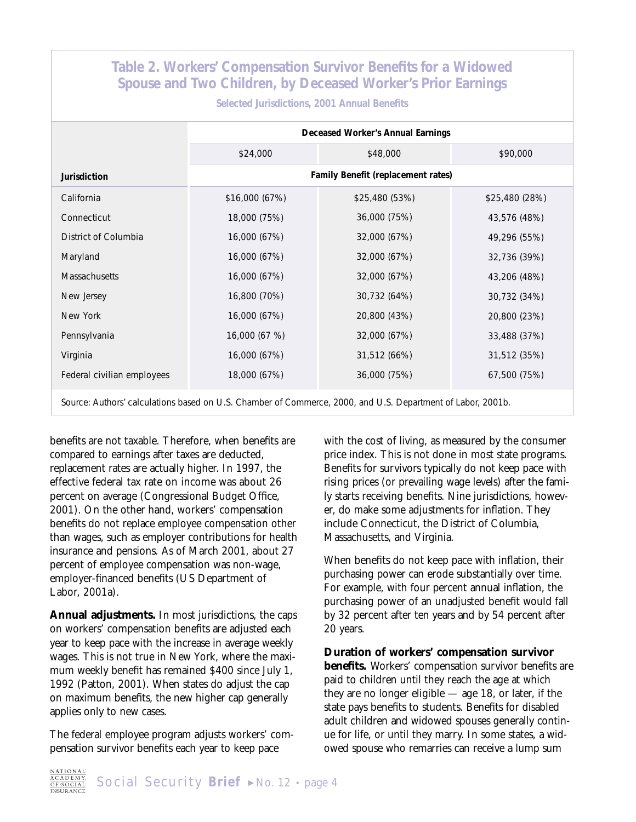| Table 2. Workers' Compensation Survivor Benefits for a Widowed<br>Spouse and Two Children, by Deceased Worker's Prior Earnings<br>Selected Jurisdictions, 2001 Annual Benefits |                                    |                |                |  |  |  |
|--------------------------------------------------------------------------------------------------------------------------------------------------------------------------------|------------------------------------|----------------|----------------|--|--|--|
|                                                                                                                                                                                | Deceased Worker's Annual Earnings  |                |                |  |  |  |
|                                                                                                                                                                                | \$24,000                           | \$48,000       | \$90,000       |  |  |  |
| Jurisdiction                                                                                                                                                                   | Family Benefit (replacement rates) |                |                |  |  |  |
| California                                                                                                                                                                     | \$16,000 (67%)                     | \$25,480 (53%) | \$25,480 (28%) |  |  |  |
| Connecticut                                                                                                                                                                    | 18,000 (75%)                       | 36,000 (75%)   | 43,576 (48%)   |  |  |  |
| District of Columbia                                                                                                                                                           | 16,000 (67%)                       | 32,000 (67%)   | 49,296 (55%)   |  |  |  |
| Maryland                                                                                                                                                                       | 16,000 (67%)                       | 32,000 (67%)   | 32,736 (39%)   |  |  |  |
| <b>Massachusetts</b>                                                                                                                                                           | 16,000 (67%)                       | 32,000 (67%)   | 43,206 (48%)   |  |  |  |
| New Jersey                                                                                                                                                                     | 16,800 (70%)                       | 30,732 (64%)   | 30,732 (34%)   |  |  |  |
| New York                                                                                                                                                                       | 16,000 (67%)                       | 20,800 (43%)   | 20,800 (23%)   |  |  |  |
| Pennsylvania                                                                                                                                                                   | 16,000 (67 %)                      | 32,000 (67%)   | 33,488 (37%)   |  |  |  |
| Virginia                                                                                                                                                                       | 16,000 (67%)                       | 31,512 (66%)   | 31,512 (35%)   |  |  |  |
| Federal civilian employees                                                                                                                                                     | 18,000 (67%)                       | 36,000 (75%)   | 67,500 (75%)   |  |  |  |

Source: Authors' calculations based on U.S. Chamber of Commerce, 2000, and U.S. Department of Labor, 2001b.

benefits are not taxable. Therefore, when benefits are compared to earnings after taxes are deducted, replacement rates are actually higher. In 1997, the effective federal tax rate on income was about 26 percent on average (Congressional Budget Office, 2001). On the other hand, workers' compensation benefits do not replace employee compensation other than wages, such as employer contributions for health insurance and pensions. As of March 2001, about 27 percent of employee compensation was non-wage, employer-financed benefits (US Department of Labor, 2001a).

**Annual adjustments.** In most jurisdictions, the caps on workers' compensation benefits are adjusted each year to keep pace with the increase in average weekly wages. This is not true in New York, where the maximum weekly benefit has remained \$400 since July 1, 1992 (Patton, 2001). When states do adjust the cap on maximum benefits, the new higher cap generally applies only to new cases.

The federal employee program adjusts workers' compensation survivor benefits each year to keep pace

with the cost of living, as measured by the consumer price index. This is not done in most state programs. Benefits for survivors typically do not keep pace with rising prices (or prevailing wage levels) after the family starts receiving benefits. Nine jurisdictions, however, do make some adjustments for inflation. They include Connecticut, the District of Columbia, Massachusetts, and Virginia.

When benefits do not keep pace with inflation, their purchasing power can erode substantially over time. For example, with four percent annual inflation, the purchasing power of an unadjusted benefit would fall by 32 percent after ten years and by 54 percent after 20 years.

**Duration of workers' compensation survivor benefits.** Workers' compensation survivor benefits are paid to children until they reach the age at which they are no longer eligible — age 18, or later, if the state pays benefits to students. Benefits for disabled adult children and widowed spouses generally continue for life, or until they marry. In some states, a widowed spouse who remarries can receive a lump sum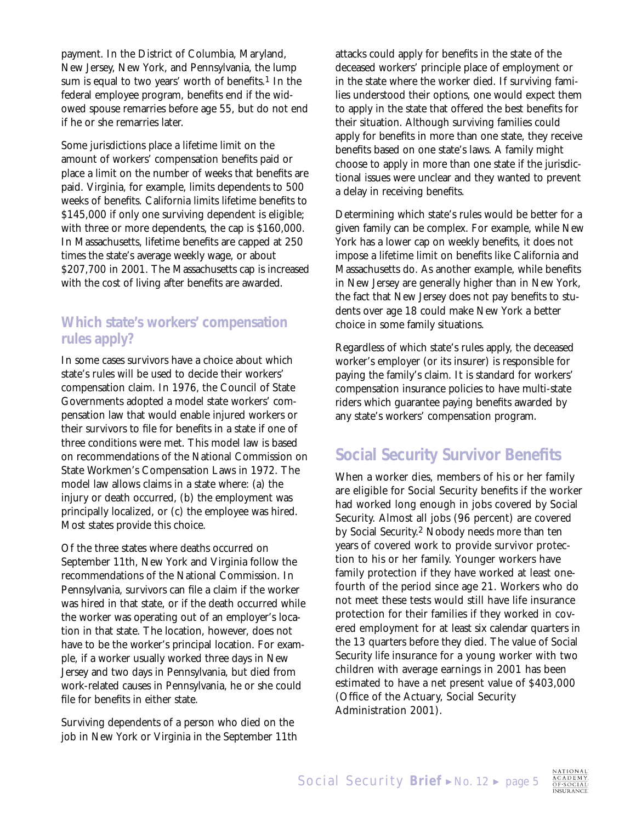payment. In the District of Columbia, Maryland, New Jersey, New York, and Pennsylvania, the lump sum is equal to two years' worth of benefits.<sup>1</sup> In the federal employee program, benefits end if the widowed spouse remarries before age 55, but do not end if he or she remarries later.

Some jurisdictions place a lifetime limit on the amount of workers' compensation benefits paid or place a limit on the number of weeks that benefits are paid. Virginia, for example, limits dependents to 500 weeks of benefits. California limits lifetime benefits to \$145,000 if only one surviving dependent is eligible; with three or more dependents, the cap is \$160,000. In Massachusetts, lifetime benefits are capped at 250 times the state's average weekly wage, or about \$207,700 in 2001. The Massachusetts cap is increased with the cost of living after benefits are awarded.

#### **Which state's workers' compensation rules apply?**

In some cases survivors have a choice about which state's rules will be used to decide their workers' compensation claim. In 1976, the Council of State Governments adopted a model state workers' compensation law that would enable injured workers or their survivors to file for benefits in a state if one of three conditions were met. This model law is based on recommendations of the National Commission on State Workmen's Compensation Laws in 1972. The model law allows claims in a state where: (a) the injury or death occurred, (b) the employment was principally localized, or (c) the employee was hired. Most states provide this choice.

Of the three states where deaths occurred on September 11th, New York and Virginia follow the recommendations of the National Commission. In Pennsylvania, survivors can file a claim if the worker was hired in that state, or if the death occurred while the worker was operating out of an employer's location in that state. The location, however, does not have to be the worker's principal location. For example, if a worker usually worked three days in New Jersey and two days in Pennsylvania, but died from work-related causes in Pennsylvania, he or she could file for benefits in either state.

Surviving dependents of a person who died on the job in New York or Virginia in the September 11th attacks could apply for benefits in the state of the deceased workers' principle place of employment or in the state where the worker died. If surviving families understood their options, one would expect them to apply in the state that offered the best benefits for their situation. Although surviving families could apply for benefits in more than one state, they receive benefits based on one state's laws. A family might choose to apply in more than one state if the jurisdictional issues were unclear and they wanted to prevent a delay in receiving benefits.

Determining which state's rules would be better for a given family can be complex. For example, while New York has a lower cap on weekly benefits, it does not impose a lifetime limit on benefits like California and Massachusetts do. As another example, while benefits in New Jersey are generally higher than in New York, the fact that New Jersey does not pay benefits to students over age 18 could make New York a better choice in some family situations.

Regardless of which state's rules apply, the deceased worker's employer (or its insurer) is responsible for paying the family's claim. It is standard for workers' compensation insurance policies to have multi-state riders which guarantee paying benefits awarded by any state's workers' compensation program.

# **Social Security Survivor Benefits**

When a worker dies, members of his or her family are eligible for Social Security benefits if the worker had worked long enough in jobs covered by Social Security. Almost all jobs (96 percent) are covered by Social Security.2 Nobody needs more than ten years of covered work to provide survivor protection to his or her family. Younger workers have family protection if they have worked at least onefourth of the period since age 21. Workers who do not meet these tests would still have life insurance protection for their families if they worked in covered employment for at least six calendar quarters in the 13 quarters before they died. The value of Social Security life insurance for a young worker with two children with average earnings in 2001 has been estimated to have a net present value of \$403,000 (Office of the Actuary, Social Security Administration 2001).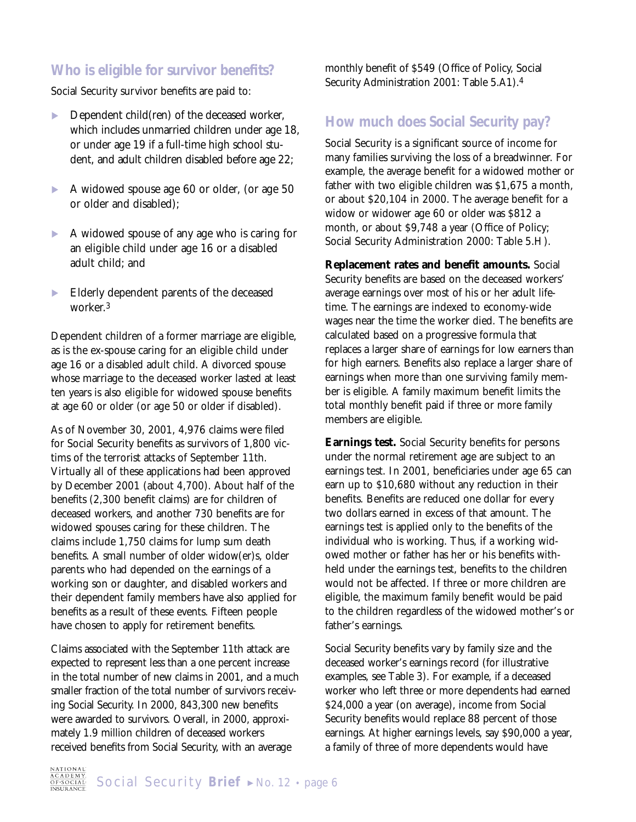#### **Who is eligible for survivor benefits?**

Social Security survivor benefits are paid to:

- $\blacktriangleright$  Dependent child(ren) of the deceased worker, which includes unmarried children under age 18, or under age 19 if a full-time high school student, and adult children disabled before age 22;
- A widowed spouse age 60 or older, (or age 50 or older and disabled);
- A widowed spouse of any age who is caring for an eligible child under age 16 or a disabled adult child; and
- Elderly dependent parents of the deceased worker.3

Dependent children of a former marriage are eligible, as is the ex-spouse caring for an eligible child under age 16 or a disabled adult child. A divorced spouse whose marriage to the deceased worker lasted at least ten years is also eligible for widowed spouse benefits at age 60 or older (or age 50 or older if disabled).

As of November 30, 2001, 4,976 claims were filed for Social Security benefits as survivors of 1,800 victims of the terrorist attacks of September 11th. Virtually all of these applications had been approved by December 2001 (about 4,700). About half of the benefits (2,300 benefit claims) are for children of deceased workers, and another 730 benefits are for widowed spouses caring for these children. The claims include 1,750 claims for lump sum death benefits. A small number of older widow(er)s, older parents who had depended on the earnings of a working son or daughter, and disabled workers and their dependent family members have also applied for benefits as a result of these events. Fifteen people have chosen to apply for retirement benefits.

Claims associated with the September 11th attack are expected to represent less than a one percent increase in the total number of new claims in 2001, and a much smaller fraction of the total number of survivors receiving Social Security. In 2000, 843,300 new benefits were awarded to survivors. Overall, in 2000, approximately 1.9 million children of deceased workers received benefits from Social Security, with an average

monthly benefit of \$549 (Office of Policy, Social Security Administration 2001: Table 5.A1).4

#### **How much does Social Security pay?**

Social Security is a significant source of income for many families surviving the loss of a breadwinner. For example, the average benefit for a widowed mother or father with two eligible children was \$1,675 a month, or about \$20,104 in 2000. The average benefit for a widow or widower age 60 or older was \$812 a month, or about \$9,748 a year (Office of Policy; Social Security Administration 2000: Table 5.H).

**Replacement rates and benefit amounts.** Social Security benefits are based on the deceased workers' average earnings over most of his or her adult lifetime. The earnings are indexed to economy-wide wages near the time the worker died. The benefits are calculated based on a progressive formula that replaces a larger share of earnings for low earners than for high earners. Benefits also replace a larger share of earnings when more than one surviving family member is eligible. A family maximum benefit limits the total monthly benefit paid if three or more family members are eligible.

**Earnings test.** Social Security benefits for persons under the normal retirement age are subject to an earnings test. In 2001, beneficiaries under age 65 can earn up to \$10,680 without any reduction in their benefits. Benefits are reduced one dollar for every two dollars earned in excess of that amount. The earnings test is applied only to the benefits of the individual who is working. Thus, if a working widowed mother or father has her or his benefits withheld under the earnings test, benefits to the children would not be affected. If three or more children are eligible, the maximum family benefit would be paid to the children regardless of the widowed mother's or father's earnings.

Social Security benefits vary by family size and the deceased worker's earnings record (for illustrative examples, see Table 3). For example, if a deceased worker who left three or more dependents had earned \$24,000 a year (on average), income from Social Security benefits would replace 88 percent of those earnings. At higher earnings levels, say \$90,000 a year, a family of three of more dependents would have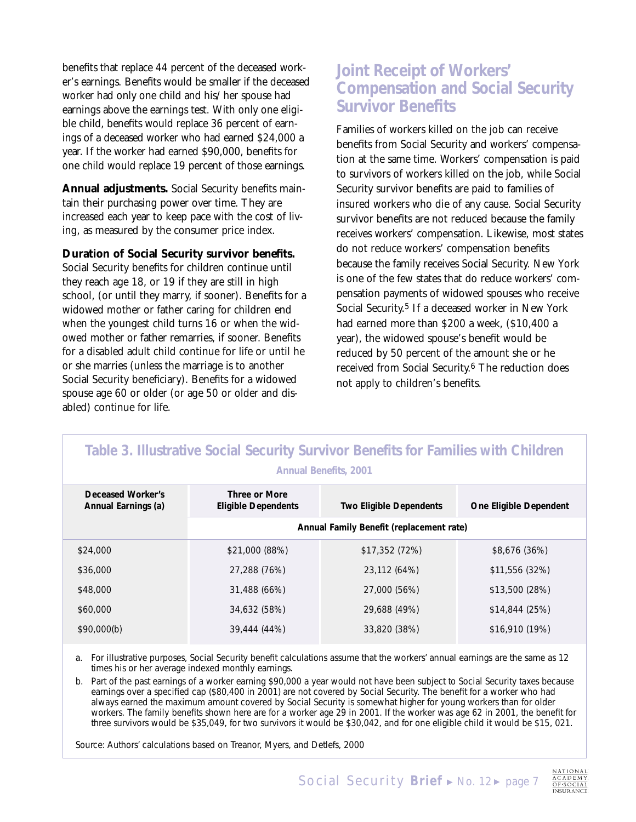benefits that replace 44 percent of the deceased worker's earnings. Benefits would be smaller if the deceased worker had only one child and his/her spouse had earnings above the earnings test. With only one eligible child, benefits would replace 36 percent of earnings of a deceased worker who had earned \$24,000 a year. If the worker had earned \$90,000, benefits for one child would replace 19 percent of those earnings.

**Annual adjustments.** Social Security benefits maintain their purchasing power over time. They are increased each year to keep pace with the cost of living, as measured by the consumer price index.

**Duration of Social Security survivor benefits.** Social Security benefits for children continue until they reach age 18, or 19 if they are still in high school, (or until they marry, if sooner). Benefits for a widowed mother or father caring for children end when the youngest child turns 16 or when the widowed mother or father remarries, if sooner. Benefits for a disabled adult child continue for life or until he or she marries (unless the marriage is to another Social Security beneficiary). Benefits for a widowed spouse age 60 or older (or age 50 or older and disabled) continue for life.

## **Joint Receipt of Workers' Compensation and Social Security Survivor Benefits**

Families of workers killed on the job can receive benefits from Social Security and workers' compensation at the same time. Workers' compensation is paid to survivors of workers killed on the job, while Social Security survivor benefits are paid to families of insured workers who die of any cause. Social Security survivor benefits are not reduced because the family receives workers' compensation. Likewise, most states do not reduce workers' compensation benefits because the family receives Social Security. New York is one of the few states that do reduce workers' compensation payments of widowed spouses who receive Social Security.<sup>5</sup> If a deceased worker in New York had earned more than \$200 a week, (\$10,400 a year), the widowed spouse's benefit would be reduced by 50 percent of the amount she or he received from Social Security.6 The reduction does not apply to children's benefits.

| Table 3. Illustrative Social Security Survivor Benefits for Families with Children<br><b>Annual Benefits, 2001</b> |                                          |                         |                        |  |  |  |
|--------------------------------------------------------------------------------------------------------------------|------------------------------------------|-------------------------|------------------------|--|--|--|
| Deceased Worker's<br>Annual Earnings (a)                                                                           | Three or More<br>Eligible Dependents     | Two Eligible Dependents | One Eligible Dependent |  |  |  |
|                                                                                                                    | Annual Family Benefit (replacement rate) |                         |                        |  |  |  |
| \$24,000                                                                                                           | \$21,000 (88%)                           | \$17,352(72%)           | \$8,676 (36%)          |  |  |  |
| \$36,000                                                                                                           | 27,288 (76%)                             | 23,112 (64%)            | \$11,556(32%)          |  |  |  |
| \$48,000                                                                                                           | 31,488 (66%)                             | 27,000 (56%)            | \$13,500 (28%)         |  |  |  |
| \$60,000                                                                                                           | 34,632 (58%)                             | 29,688 (49%)            | \$14,844(25%)          |  |  |  |
| \$90,000(b)                                                                                                        | 39,444 (44%)                             | 33,820 (38%)            | \$16,910 (19%)         |  |  |  |

a. For illustrative purposes, Social Security benefit calculations assume that the workers' annual earnings are the same as 12 times his or her average indexed monthly earnings.

b. Part of the past earnings of a worker earning \$90,000 a year would not have been subject to Social Security taxes because earnings over a specified cap (\$80,400 in 2001) are not covered by Social Security. The benefit for a worker who had always earned the maximum amount covered by Social Security is somewhat higher for young workers than for older workers. The family benefits shown here are for a worker age 29 in 2001. If the worker was age 62 in 2001, the benefit for three survivors would be \$35,049, for two survivors it would be \$30,042, and for one eligible child it would be \$15, 021.

Source: Authors' calculations based on Treanor, Myers, and Detlefs, 2000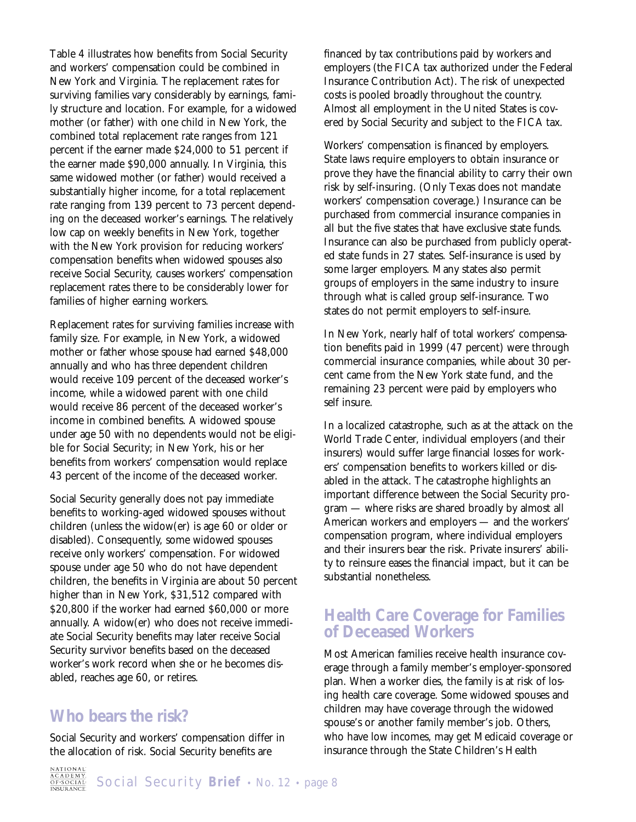Table 4 illustrates how benefits from Social Security and workers' compensation could be combined in New York and Virginia. The replacement rates for surviving families vary considerably by earnings, family structure and location. For example, for a widowed mother (or father) with one child in New York, the combined total replacement rate ranges from 121 percent if the earner made \$24,000 to 51 percent if the earner made \$90,000 annually. In Virginia, this same widowed mother (or father) would received a substantially higher income, for a total replacement rate ranging from 139 percent to 73 percent depending on the deceased worker's earnings. The relatively low cap on weekly benefits in New York, together with the New York provision for reducing workers' compensation benefits when widowed spouses also receive Social Security, causes workers' compensation replacement rates there to be considerably lower for families of higher earning workers.

Replacement rates for surviving families increase with family size. For example, in New York, a widowed mother or father whose spouse had earned \$48,000 annually and who has three dependent children would receive 109 percent of the deceased worker's income, while a widowed parent with one child would receive 86 percent of the deceased worker's income in combined benefits. A widowed spouse under age 50 with no dependents would not be eligible for Social Security; in New York, his or her benefits from workers' compensation would replace 43 percent of the income of the deceased worker.

Social Security generally does not pay immediate benefits to working-aged widowed spouses without children (unless the widow(er) is age 60 or older or disabled). Consequently, some widowed spouses receive only workers' compensation. For widowed spouse under age 50 who do not have dependent children, the benefits in Virginia are about 50 percent higher than in New York, \$31,512 compared with \$20,800 if the worker had earned \$60,000 or more annually. A widow(er) who does not receive immediate Social Security benefits may later receive Social Security survivor benefits based on the deceased worker's work record when she or he becomes disabled, reaches age 60, or retires.

#### **Who bears the risk?**

Social Security and workers' compensation differ in the allocation of risk. Social Security benefits are

financed by tax contributions paid by workers and employers (the FICA tax authorized under the Federal Insurance Contribution Act). The risk of unexpected costs is pooled broadly throughout the country. Almost all employment in the United States is covered by Social Security and subject to the FICA tax.

Workers' compensation is financed by employers. State laws require employers to obtain insurance or prove they have the financial ability to carry their own risk by self-insuring. (Only Texas does not mandate workers' compensation coverage.) Insurance can be purchased from commercial insurance companies in all but the five states that have exclusive state funds. Insurance can also be purchased from publicly operated state funds in 27 states. Self-insurance is used by some larger employers. Many states also permit groups of employers in the same industry to insure through what is called group self-insurance. Two states do not permit employers to self-insure.

In New York, nearly half of total workers' compensation benefits paid in 1999 (47 percent) were through commercial insurance companies, while about 30 percent came from the New York state fund, and the remaining 23 percent were paid by employers who self insure.

In a localized catastrophe, such as at the attack on the World Trade Center, individual employers (and their insurers) would suffer large financial losses for workers' compensation benefits to workers killed or disabled in the attack. The catastrophe highlights an important difference between the Social Security program — where risks are shared broadly by almost all American workers and employers — and the workers' compensation program, where individual employers and their insurers bear the risk. Private insurers' ability to reinsure eases the financial impact, but it can be substantial nonetheless.

## **Health Care Coverage for Families of Deceased Workers**

Most American families receive health insurance coverage through a family member's employer-sponsored plan. When a worker dies, the family is at risk of losing health care coverage. Some widowed spouses and children may have coverage through the widowed spouse's or another family member's job. Others, who have low incomes, may get Medicaid coverage or insurance through the State Children's Health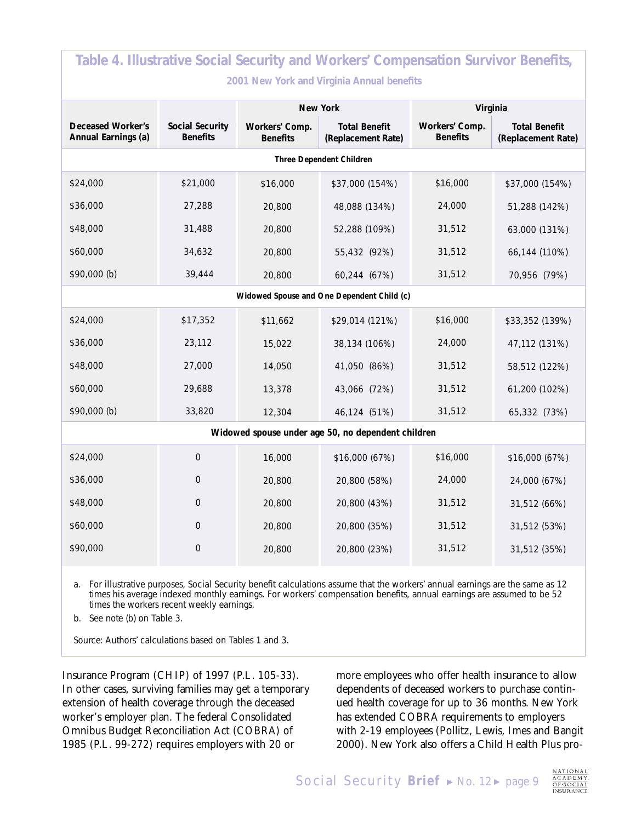| Table 4. Illustrative Social Security and Workers' Compensation Survivor Benefits, |                                    |                                   |                                            |                                   |                                            |  |  |
|------------------------------------------------------------------------------------|------------------------------------|-----------------------------------|--------------------------------------------|-----------------------------------|--------------------------------------------|--|--|
| 2001 New York and Virginia Annual benefits                                         |                                    |                                   |                                            |                                   |                                            |  |  |
|                                                                                    |                                    | New York                          |                                            | Virginia                          |                                            |  |  |
| Deceased Worker's<br>Annual Earnings (a)                                           | Social Security<br><b>Benefits</b> | Workers' Comp.<br><b>Benefits</b> | <b>Total Benefit</b><br>(Replacement Rate) | Workers' Comp.<br><b>Benefits</b> | <b>Total Benefit</b><br>(Replacement Rate) |  |  |
| Three Dependent Children                                                           |                                    |                                   |                                            |                                   |                                            |  |  |
| \$24,000                                                                           | \$21,000                           | \$16,000                          | \$37,000 (154%)                            | \$16,000                          | \$37,000 (154%)                            |  |  |
| \$36,000                                                                           | 27,288                             | 20,800                            | 48,088 (134%)                              | 24,000                            | 51,288 (142%)                              |  |  |
| \$48,000                                                                           | 31,488                             | 20,800                            | 52,288 (109%)                              | 31,512                            | 63,000 (131%)                              |  |  |
| \$60,000                                                                           | 34,632                             | 20,800                            | 55,432 (92%)                               | 31,512                            | 66,144 (110%)                              |  |  |
| \$90,000 (b)                                                                       | 39,444                             | 20,800                            | 60,244 (67%)                               | 31,512                            | 70,956 (79%)                               |  |  |
| Widowed Spouse and One Dependent Child (c)                                         |                                    |                                   |                                            |                                   |                                            |  |  |
| \$24,000                                                                           | \$17,352                           | \$11,662                          | \$29,014 (121%)                            | \$16,000                          | \$33,352 (139%)                            |  |  |
| \$36,000                                                                           | 23,112                             | 15,022                            | 38,134 (106%)                              | 24,000                            | 47,112 (131%)                              |  |  |
| \$48,000                                                                           | 27,000                             | 14,050                            | 41,050 (86%)                               | 31,512                            | 58,512 (122%)                              |  |  |
| \$60,000                                                                           | 29,688                             | 13,378                            | 43,066 (72%)                               | 31,512                            | 61,200 (102%)                              |  |  |
| \$90,000 (b)                                                                       | 33,820                             | 12,304                            | 46,124 (51%)                               | 31,512                            | 65,332 (73%)                               |  |  |
| Widowed spouse under age 50, no dependent children                                 |                                    |                                   |                                            |                                   |                                            |  |  |
| \$24,000                                                                           | $\mathbf 0$                        | 16,000                            | \$16,000 (67%)                             | \$16,000                          | \$16,000 (67%)                             |  |  |
| \$36,000                                                                           | $\overline{0}$                     | 20,800                            | 20,800 (58%)                               | 24,000                            | 24,000 (67%)                               |  |  |
| \$48,000                                                                           | $\boldsymbol{0}$                   | 20,800                            | 20,800 (43%)                               | 31,512                            | 31,512 (66%)                               |  |  |
| \$60,000                                                                           | $\boldsymbol{0}$                   | 20,800                            | 20,800 (35%)                               | 31,512                            | 31,512 (53%)                               |  |  |
| \$90,000                                                                           | $\mathbf 0$                        | 20,800                            | 20,800 (23%)                               | 31,512                            | 31,512 (35%)                               |  |  |

a. For illustrative purposes, Social Security benefit calculations assume that the workers' annual earnings are the same as 12 times his average indexed monthly earnings. For workers' compensation benefits, annual earnings are assumed to be 52 times the workers recent weekly earnings.

b. See note (b) on Table 3.

Source: Authors' calculations based on Tables 1 and 3.

Insurance Program (CHIP) of 1997 (P.L. 105-33). In other cases, surviving families may get a temporary extension of health coverage through the deceased worker's employer plan. The federal Consolidated Omnibus Budget Reconciliation Act (COBRA) of 1985 (P.L. 99-272) requires employers with 20 or

more employees who offer health insurance to allow dependents of deceased workers to purchase continued health coverage for up to 36 months. New York has extended COBRA requirements to employers with 2-19 employees (Pollitz, Lewis, Imes and Bangit 2000). New York also offers a Child Health Plus pro-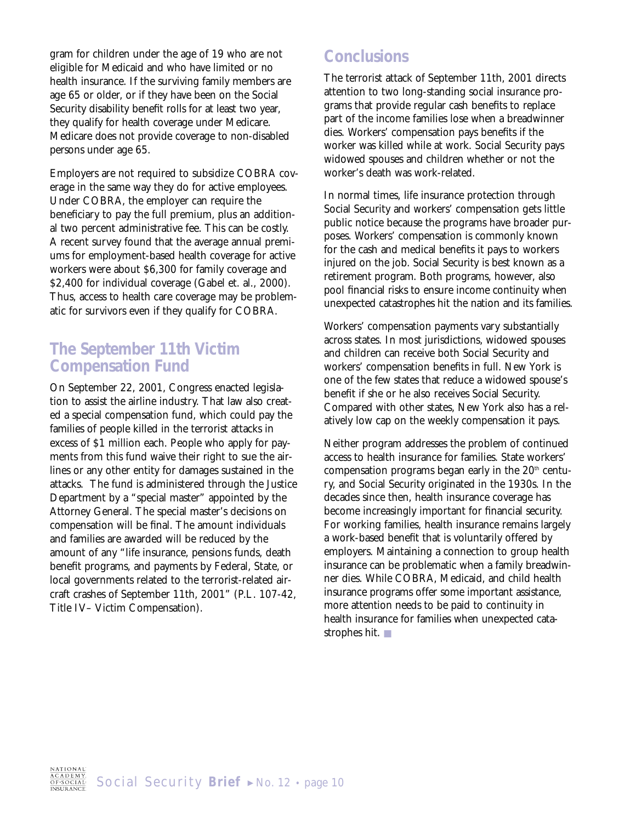gram for children under the age of 19 who are not eligible for Medicaid and who have limited or no health insurance. If the surviving family members are age 65 or older, or if they have been on the Social Security disability benefit rolls for at least two year, they qualify for health coverage under Medicare. Medicare does not provide coverage to non-disabled persons under age 65.

Employers are not required to subsidize COBRA coverage in the same way they do for active employees. Under COBRA, the employer can require the beneficiary to pay the full premium, plus an additional two percent administrative fee. This can be costly. A recent survey found that the average annual premiums for employment-based health coverage for active workers were about \$6,300 for family coverage and \$2,400 for individual coverage (Gabel et. al., 2000). Thus, access to health care coverage may be problematic for survivors even if they qualify for COBRA.

#### **The September 11th Victim Compensation Fund**

On September 22, 2001, Congress enacted legislation to assist the airline industry. That law also created a special compensation fund, which could pay the families of people killed in the terrorist attacks in excess of \$1 million each. People who apply for payments from this fund waive their right to sue the airlines or any other entity for damages sustained in the attacks. The fund is administered through the Justice Department by a "special master" appointed by the Attorney General. The special master's decisions on compensation will be final. The amount individuals and families are awarded will be reduced by the amount of any "life insurance, pensions funds, death benefit programs, and payments by Federal, State, or local governments related to the terrorist-related aircraft crashes of September 11th, 2001" (P.L. 107-42, Title IV– Victim Compensation).

# **Conclusions**

The terrorist attack of September 11th, 2001 directs attention to two long-standing social insurance programs that provide regular cash benefits to replace part of the income families lose when a breadwinner dies. Workers' compensation pays benefits if the worker was killed while at work. Social Security pays widowed spouses and children whether or not the worker's death was work-related.

In normal times, life insurance protection through Social Security and workers' compensation gets little public notice because the programs have broader purposes. Workers' compensation is commonly known for the cash and medical benefits it pays to workers injured on the job. Social Security is best known as a retirement program. Both programs, however, also pool financial risks to ensure income continuity when unexpected catastrophes hit the nation and its families.

Workers' compensation payments vary substantially across states. In most jurisdictions, widowed spouses and children can receive both Social Security and workers' compensation benefits in full. New York is one of the few states that reduce a widowed spouse's benefit if she or he also receives Social Security. Compared with other states, New York also has a relatively low cap on the weekly compensation it pays.

Neither program addresses the problem of continued access to health insurance for families. State workers' compensation programs began early in the  $20<sup>th</sup>$  century, and Social Security originated in the 1930s. In the decades since then, health insurance coverage has become increasingly important for financial security. For working families, health insurance remains largely a work-based benefit that is voluntarily offered by employers. Maintaining a connection to group health insurance can be problematic when a family breadwinner dies. While COBRA, Medicaid, and child health insurance programs offer some important assistance, more attention needs to be paid to continuity in health insurance for families when unexpected catastrophes hit. ■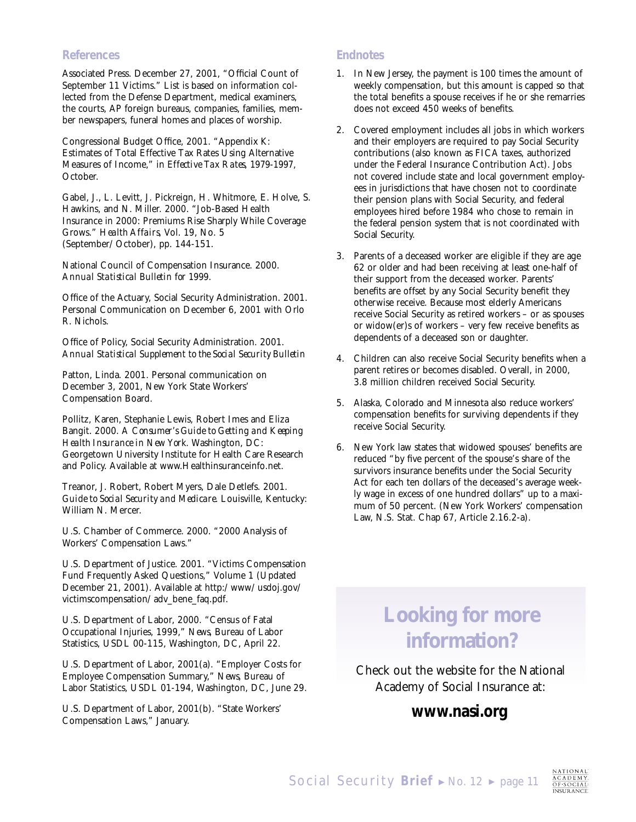#### **References**

Associated Press. December 27, 2001, "Official Count of September 11 Victims." List is based on information collected from the Defense Department, medical examiners, the courts, AP foreign bureaus, companies, families, member newspapers, funeral homes and places of worship.

Congressional Budget Office, 2001. "Appendix K: Estimates of Total Effective Tax Rates Using Alternative Measures of Income," in *Effective Tax Rates*, *1979-1997,* October.

Gabel, J., L. Levitt, J. Pickreign, H. Whitmore, E. Holve, S. Hawkins, and N. Miller. 2000. "Job-Based Health Insurance in 2000: Premiums Rise Sharply While Coverage Grows." *Health Affairs,* Vol. 19, No. 5 (September/October), pp. 144-151.

National Council of Compensation Insurance. 2000. *Annual Statistical Bulletin for 1999.*

Office of the Actuary, Social Security Administration. 2001. Personal Communication on December 6, 2001 with Orlo R. Nichols.

Office of Policy, Social Security Administration. 2001. *Annual Statistical Supplement to the Social Security Bulletin*

Patton, Linda. 2001. Personal communication on December 3, 2001, New York State Workers' Compensation Board.

Pollitz, Karen, Stephanie Lewis, Robert Imes and Eliza Bangit. 2000. *A Consumer's Guide to Getting and Keeping Health Insurance in New York.* Washington, DC: Georgetown University Institute for Health Care Research and Policy. Available at www.Healthinsuranceinfo.net.

Treanor, J. Robert, Robert Myers, Dale Detlefs. 2001. *Guide to Social Security and Medicare.* Louisville, Kentucky: William N. Mercer.

U.S. Chamber of Commerce. 2000. "2000 Analysis of Workers' Compensation Laws."

U.S. Department of Justice. 2001. "Victims Compensation Fund Frequently Asked Questions," Volume 1 (Updated December 21, 2001). Available at http:/www/usdoj.gov/ victimscompensation/adv\_bene\_faq.pdf.

U.S. Department of Labor, 2000. "Census of Fatal Occupational Injuries, 1999," *News,* Bureau of Labor Statistics, USDL 00-115, Washington, DC, April 22.

U.S. Department of Labor, 2001(a). "Employer Costs for Employee Compensation Summary," *News,* Bureau of Labor Statistics, USDL 01-194, Washington, DC, June 29.

U.S. Department of Labor, 2001(b). "State Workers' Compensation Laws," January.

#### **Endnotes**

- 1. In New Jersey, the payment is 100 times the amount of weekly compensation, but this amount is capped so that the total benefits a spouse receives if he or she remarries does not exceed 450 weeks of benefits.
- 2. Covered employment includes all jobs in which workers and their employers are required to pay Social Security contributions (also known as FICA taxes, authorized under the Federal Insurance Contribution Act). Jobs not covered include state and local government employees in jurisdictions that have chosen not to coordinate their pension plans with Social Security, and federal employees hired before 1984 who chose to remain in the federal pension system that is not coordinated with Social Security.
- 3. Parents of a deceased worker are eligible if they are age 62 or older and had been receiving at least one-half of their support from the deceased worker. Parents' benefits are offset by any Social Security benefit they otherwise receive. Because most elderly Americans receive Social Security as retired workers – or as spouses or widow(er)s of workers – very few receive benefits as dependents of a deceased son or daughter.
- 4. Children can also receive Social Security benefits when a parent retires or becomes disabled. Overall, in 2000, 3.8 million children received Social Security.
- 5. Alaska, Colorado and Minnesota also reduce workers' compensation benefits for surviving dependents if they receive Social Security.
- 6. New York law states that widowed spouses' benefits are reduced "by five percent of the spouse's share of the survivors insurance benefits under the Social Security Act for each ten dollars of the deceased's average weekly wage in excess of one hundred dollars" up to a maximum of 50 percent. (New York Workers' compensation Law, N.S. Stat. Chap 67, Article 2.16.2-a).

# **Looking for more information?**

Check out the website for the National Academy of Social Insurance at:

# *www.nasi.org*